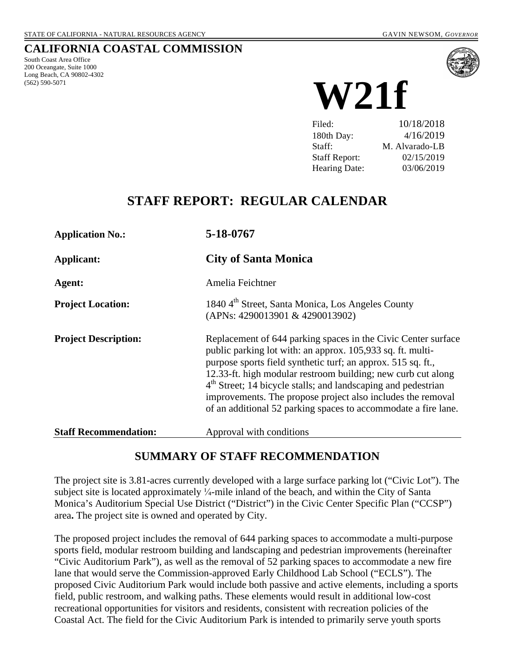## **CALIFORNIA COASTAL COMMISSION**

South Coast Area Office 200 Oceangate, Suite 1000 Long Beach, CA 90802-4302 (562) 590-5071



**W21f**

Filed: 10/18/2018 180th Day: 4/16/2019 Staff: M. Alvarado-LB Staff Report: 02/15/2019 Hearing Date: 03/06/2019

# **STAFF REPORT: REGULAR CALENDAR**

| <b>Application No.:</b>      | 5-18-0767                                                                                                                                                                                                                                                                                                                                                                                                                                                                 |  |  |  |  |
|------------------------------|---------------------------------------------------------------------------------------------------------------------------------------------------------------------------------------------------------------------------------------------------------------------------------------------------------------------------------------------------------------------------------------------------------------------------------------------------------------------------|--|--|--|--|
| Applicant:                   | <b>City of Santa Monica</b>                                                                                                                                                                                                                                                                                                                                                                                                                                               |  |  |  |  |
| Agent:                       | Amelia Feichtner                                                                                                                                                                                                                                                                                                                                                                                                                                                          |  |  |  |  |
| <b>Project Location:</b>     | 1840 4 <sup>th</sup> Street, Santa Monica, Los Angeles County<br>(APNs: 4290013901 & 4290013902)                                                                                                                                                                                                                                                                                                                                                                          |  |  |  |  |
| <b>Project Description:</b>  | Replacement of 644 parking spaces in the Civic Center surface<br>public parking lot with: an approx. 105,933 sq. ft. multi-<br>purpose sports field synthetic turf; an approx. 515 sq. ft.,<br>12.33-ft. high modular restroom building; new curb cut along<br>4 <sup>th</sup> Street; 14 bicycle stalls; and landscaping and pedestrian<br>improvements. The propose project also includes the removal<br>of an additional 52 parking spaces to accommodate a fire lane. |  |  |  |  |
| <b>Staff Recommendation:</b> | Approval with conditions                                                                                                                                                                                                                                                                                                                                                                                                                                                  |  |  |  |  |

## **SUMMARY OF STAFF RECOMMENDATION**

The project site is 3.81-acres currently developed with a large surface parking lot ("Civic Lot"). The subject site is located approximately  $\frac{1}{4}$ -mile inland of the beach, and within the City of Santa Monica's Auditorium Special Use District ("District") in the Civic Center Specific Plan ("CCSP") area**.** The project site is owned and operated by City.

The proposed project includes the removal of 644 parking spaces to accommodate a multi-purpose sports field, modular restroom building and landscaping and pedestrian improvements (hereinafter "Civic Auditorium Park"), as well as the removal of 52 parking spaces to accommodate a new fire lane that would serve the Commission-approved Early Childhood Lab School ("ECLS"). The proposed Civic Auditorium Park would include both passive and active elements, including a sports field, public restroom, and walking paths. These elements would result in additional low-cost recreational opportunities for visitors and residents, consistent with recreation policies of the Coastal Act. The field for the Civic Auditorium Park is intended to primarily serve youth sports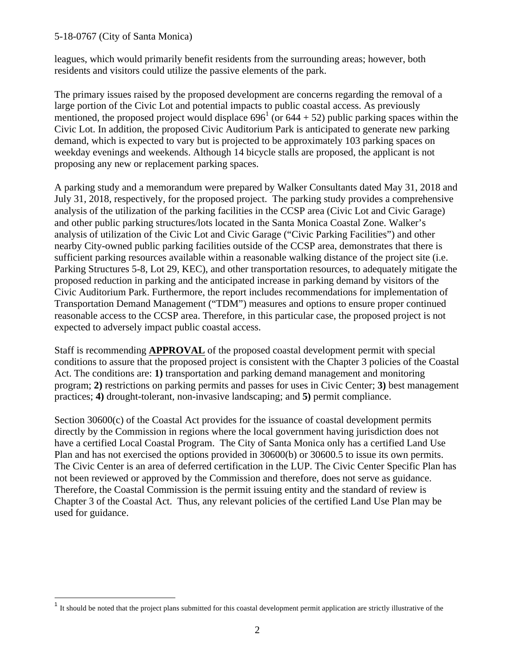leagues, which would primarily benefit residents from the surrounding areas; however, both residents and visitors could utilize the passive elements of the park.

The primary issues raised by the proposed development are concerns regarding the removal of a large portion of the Civic Lot and potential impacts to public coastal access. As previously mentioned, the proposed project would displace  $696<sup>1</sup>$  (or  $644 + 52$ ) public parking spaces within the Civic Lot. In addition, the proposed Civic Auditorium Park is anticipated to generate new parking demand, which is expected to vary but is projected to be approximately 103 parking spaces on weekday evenings and weekends. Although 14 bicycle stalls are proposed, the applicant is not proposing any new or replacement parking spaces.

A parking study and a memorandum were prepared by Walker Consultants dated May 31, 2018 and July 31, 2018, respectively, for the proposed project. The parking study provides a comprehensive analysis of the utilization of the parking facilities in the CCSP area (Civic Lot and Civic Garage) and other public parking structures/lots located in the Santa Monica Coastal Zone. Walker's analysis of utilization of the Civic Lot and Civic Garage ("Civic Parking Facilities") and other nearby City-owned public parking facilities outside of the CCSP area, demonstrates that there is sufficient parking resources available within a reasonable walking distance of the project site (i.e. Parking Structures 5-8, Lot 29, KEC), and other transportation resources, to adequately mitigate the proposed reduction in parking and the anticipated increase in parking demand by visitors of the Civic Auditorium Park. Furthermore, the report includes recommendations for implementation of Transportation Demand Management ("TDM") measures and options to ensure proper continued reasonable access to the CCSP area. Therefore, in this particular case, the proposed project is not expected to adversely impact public coastal access.

Staff is recommending **APPROVAL** of the proposed coastal development permit with special conditions to assure that the proposed project is consistent with the Chapter 3 policies of the Coastal Act. The conditions are: **1)** transportation and parking demand management and monitoring program; **2)** restrictions on parking permits and passes for uses in Civic Center; **3)** best management practices; **4)** drought-tolerant, non-invasive landscaping; and **5)** permit compliance.

Section 30600(c) of the Coastal Act provides for the issuance of coastal development permits directly by the Commission in regions where the local government having jurisdiction does not have a certified Local Coastal Program. The City of Santa Monica only has a certified Land Use Plan and has not exercised the options provided in 30600(b) or 30600.5 to issue its own permits. The Civic Center is an area of deferred certification in the LUP. The Civic Center Specific Plan has not been reviewed or approved by the Commission and therefore, does not serve as guidance. Therefore, the Coastal Commission is the permit issuing entity and the standard of review is Chapter 3 of the Coastal Act. Thus, any relevant policies of the certified Land Use Plan may be used for guidance.

 $<sup>1</sup>$  It should be noted that the project plans submitted for this coastal development permit application are strictly illustrative of the</sup>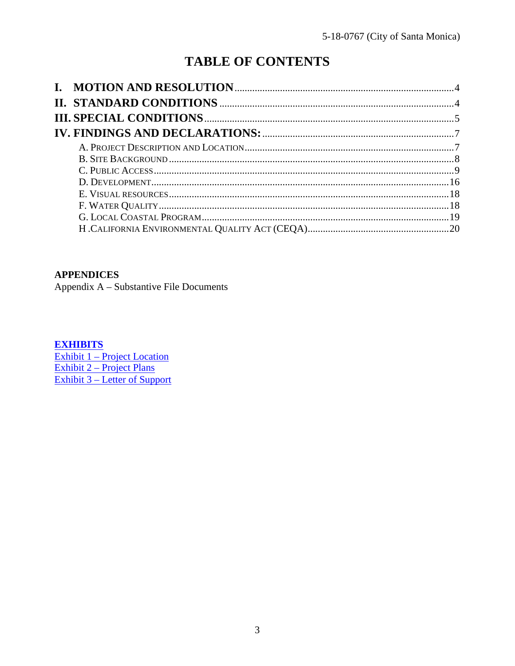# **TABLE OF CONTENTS**

# **APPENDICES**

Appendix A - Substantive File Documents

## **EXHIBITS**

Exhibit 1 – Project Location<br>Exhibit 2 – Project Plans **Exhibit 3 – Letter of Support**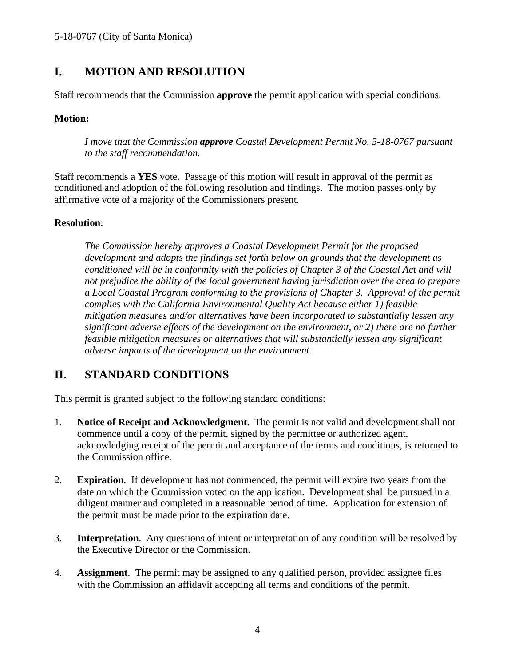# **I. MOTION AND RESOLUTION**

Staff recommends that the Commission **approve** the permit application with special conditions.

## **Motion:**

*I move that the Commission approve Coastal Development Permit No. 5-18-0767 pursuant to the staff recommendation.*

Staff recommends a **YES** vote. Passage of this motion will result in approval of the permit as conditioned and adoption of the following resolution and findings. The motion passes only by affirmative vote of a majority of the Commissioners present.

## **Resolution**:

*The Commission hereby approves a Coastal Development Permit for the proposed development and adopts the findings set forth below on grounds that the development as conditioned will be in conformity with the policies of Chapter 3 of the Coastal Act and will not prejudice the ability of the local government having jurisdiction over the area to prepare a Local Coastal Program conforming to the provisions of Chapter 3. Approval of the permit complies with the California Environmental Quality Act because either 1) feasible mitigation measures and/or alternatives have been incorporated to substantially lessen any significant adverse effects of the development on the environment, or 2) there are no further feasible mitigation measures or alternatives that will substantially lessen any significant adverse impacts of the development on the environment.*

## **II. STANDARD CONDITIONS**

This permit is granted subject to the following standard conditions:

- 1. **Notice of Receipt and Acknowledgment**. The permit is not valid and development shall not commence until a copy of the permit, signed by the permittee or authorized agent, acknowledging receipt of the permit and acceptance of the terms and conditions, is returned to the Commission office.
- 2. **Expiration**. If development has not commenced, the permit will expire two years from the date on which the Commission voted on the application. Development shall be pursued in a diligent manner and completed in a reasonable period of time. Application for extension of the permit must be made prior to the expiration date.
- 3. **Interpretation**. Any questions of intent or interpretation of any condition will be resolved by the Executive Director or the Commission.
- 4. **Assignment**. The permit may be assigned to any qualified person, provided assignee files with the Commission an affidavit accepting all terms and conditions of the permit.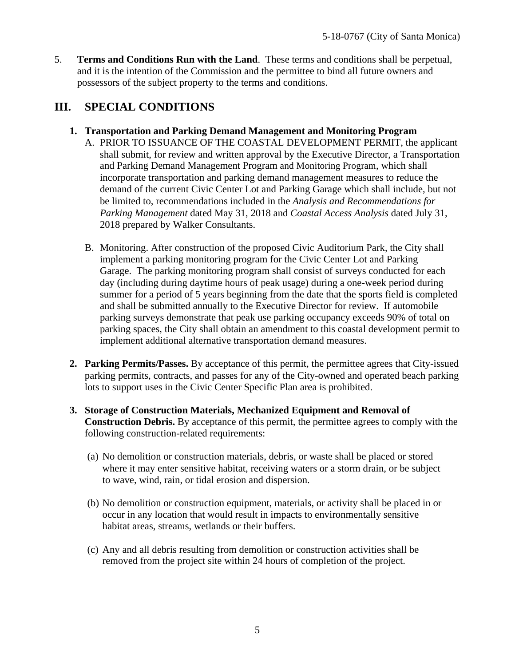5. **Terms and Conditions Run with the Land**. These terms and conditions shall be perpetual, and it is the intention of the Commission and the permittee to bind all future owners and possessors of the subject property to the terms and conditions.

# **III. SPECIAL CONDITIONS**

## **1. Transportation and Parking Demand Management and Monitoring Program**

- A. PRIOR TO ISSUANCE OF THE COASTAL DEVELOPMENT PERMIT, the applicant shall submit, for review and written approval by the Executive Director, a Transportation and Parking Demand Management Program and Monitoring Program, which shall incorporate transportation and parking demand management measures to reduce the demand of the current Civic Center Lot and Parking Garage which shall include, but not be limited to, recommendations included in the *Analysis and Recommendations for Parking Management* dated May 31, 2018 and *Coastal Access Analysis* dated July 31, 2018 prepared by Walker Consultants.
- B. Monitoring. After construction of the proposed Civic Auditorium Park, the City shall implement a parking monitoring program for the Civic Center Lot and Parking Garage. The parking monitoring program shall consist of surveys conducted for each day (including during daytime hours of peak usage) during a one-week period during summer for a period of 5 years beginning from the date that the sports field is completed and shall be submitted annually to the Executive Director for review. If automobile parking surveys demonstrate that peak use parking occupancy exceeds 90% of total on parking spaces, the City shall obtain an amendment to this coastal development permit to implement additional alternative transportation demand measures.
- **2. Parking Permits/Passes.** By acceptance of this permit, the permittee agrees that City-issued parking permits, contracts, and passes for any of the City-owned and operated beach parking lots to support uses in the Civic Center Specific Plan area is prohibited.
- **3. Storage of Construction Materials, Mechanized Equipment and Removal of Construction Debris.** By acceptance of this permit, the permittee agrees to comply with the following construction-related requirements:
	- (a) No demolition or construction materials, debris, or waste shall be placed or stored where it may enter sensitive habitat, receiving waters or a storm drain, or be subject to wave, wind, rain, or tidal erosion and dispersion.
	- (b) No demolition or construction equipment, materials, or activity shall be placed in or occur in any location that would result in impacts to environmentally sensitive habitat areas, streams, wetlands or their buffers.
	- (c) Any and all debris resulting from demolition or construction activities shall be removed from the project site within 24 hours of completion of the project.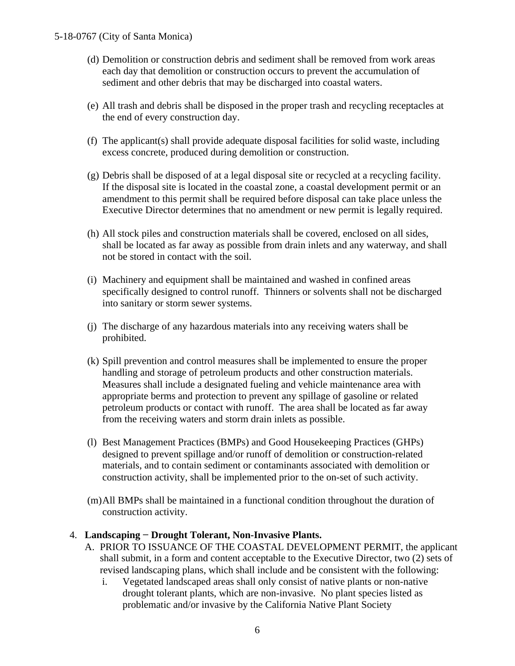- (d) Demolition or construction debris and sediment shall be removed from work areas each day that demolition or construction occurs to prevent the accumulation of sediment and other debris that may be discharged into coastal waters.
- (e) All trash and debris shall be disposed in the proper trash and recycling receptacles at the end of every construction day.
- (f) The applicant(s) shall provide adequate disposal facilities for solid waste, including excess concrete, produced during demolition or construction.
- (g) Debris shall be disposed of at a legal disposal site or recycled at a recycling facility. If the disposal site is located in the coastal zone, a coastal development permit or an amendment to this permit shall be required before disposal can take place unless the Executive Director determines that no amendment or new permit is legally required.
- (h) All stock piles and construction materials shall be covered, enclosed on all sides, shall be located as far away as possible from drain inlets and any waterway, and shall not be stored in contact with the soil.
- (i) Machinery and equipment shall be maintained and washed in confined areas specifically designed to control runoff. Thinners or solvents shall not be discharged into sanitary or storm sewer systems.
- (j) The discharge of any hazardous materials into any receiving waters shall be prohibited.
- (k) Spill prevention and control measures shall be implemented to ensure the proper handling and storage of petroleum products and other construction materials. Measures shall include a designated fueling and vehicle maintenance area with appropriate berms and protection to prevent any spillage of gasoline or related petroleum products or contact with runoff. The area shall be located as far away from the receiving waters and storm drain inlets as possible.
- (l) Best Management Practices (BMPs) and Good Housekeeping Practices (GHPs) designed to prevent spillage and/or runoff of demolition or construction-related materials, and to contain sediment or contaminants associated with demolition or construction activity, shall be implemented prior to the on-set of such activity.
- (m)All BMPs shall be maintained in a functional condition throughout the duration of construction activity.

### 4. **Landscaping − Drought Tolerant, Non-Invasive Plants.**

- A. PRIOR TO ISSUANCE OF THE COASTAL DEVELOPMENT PERMIT, the applicant shall submit, in a form and content acceptable to the Executive Director, two (2) sets of revised landscaping plans, which shall include and be consistent with the following:
	- i. Vegetated landscaped areas shall only consist of native plants or non-native drought tolerant plants, which are non-invasive. No plant species listed as problematic and/or invasive by the California Native Plant Society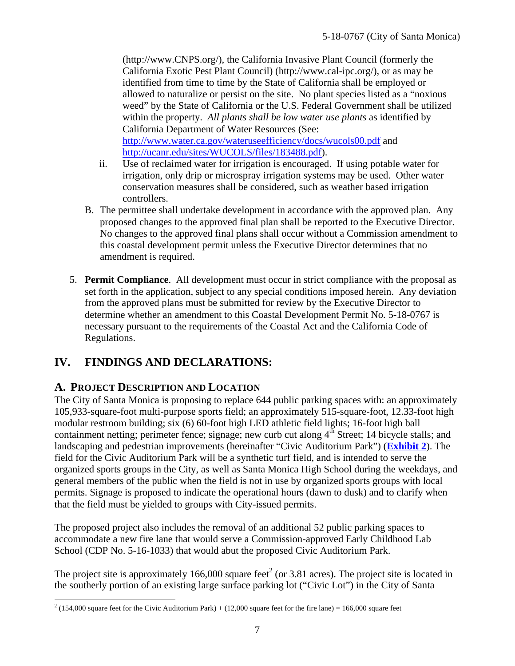(http://www.CNPS.org/), the California Invasive Plant Council (formerly the California Exotic Pest Plant Council) (http://www.cal-ipc.org/), or as may be identified from time to time by the State of California shall be employed or allowed to naturalize or persist on the site. No plant species listed as a "noxious weed" by the State of California or the U.S. Federal Government shall be utilized within the property. *All plants shall be low water use plants* as identified by California Department of Water Resources (See: http://www.water.ca.gov/wateruseefficiency/docs/wucols00.pdf and

http://ucanr.edu/sites/WUCOLS/files/183488.pdf). ii. Use of reclaimed water for irrigation is encouraged. If using potable water for irrigation, only drip or microspray irrigation systems may be used. Other water

- conservation measures shall be considered, such as weather based irrigation controllers. B. The permittee shall undertake development in accordance with the approved plan. Any
- proposed changes to the approved final plan shall be reported to the Executive Director. No changes to the approved final plans shall occur without a Commission amendment to this coastal development permit unless the Executive Director determines that no amendment is required.
- 5. **Permit Compliance**. All development must occur in strict compliance with the proposal as set forth in the application, subject to any special conditions imposed herein. Any deviation from the approved plans must be submitted for review by the Executive Director to determine whether an amendment to this Coastal Development Permit No. 5-18-0767 is necessary pursuant to the requirements of the Coastal Act and the California Code of Regulations.

# **IV. FINDINGS AND DECLARATIONS:**

# **A. PROJECT DESCRIPTION AND LOCATION**

The City of Santa Monica is proposing to replace 644 public parking spaces with: an approximately 105,933-square-foot multi-purpose sports field; an approximately 515-square-foot, 12.33-foot high modular restroom building; six (6) 60-foot high LED athletic field lights; 16-foot high ball containment netting; perimeter fence; signage; new curb cut along  $4<sup>th</sup>$  Street; 14 bicycle stalls; and landscaping and pedestrian improvements (hereinafter "Civic Auditorium Park") (**Exhibit 2**). The field for the Civic Auditorium Park will be a synthetic turf field, and is intended to serve the organized sports groups in the City, as well as Santa Monica High School during the weekdays, and general members of the public when the field is not in use by organized sports groups with local permits. Signage is proposed to indicate the operational hours (dawn to dusk) and to clarify when that the field must be yielded to groups with City-issued permits.

The proposed project also includes the removal of an additional 52 public parking spaces to accommodate a new fire lane that would serve a Commission-approved Early Childhood Lab School (CDP No. 5-16-1033) that would abut the proposed Civic Auditorium Park.

The project site is approximately 166,000 square feet<sup>2</sup> (or 3.81 acres). The project site is located in the southerly portion of an existing large surface parking lot ("Civic Lot") in the City of Santa

 $2(154,000$  square feet for the Civic Auditorium Park) + (12,000 square feet for the fire lane) = 166,000 square feet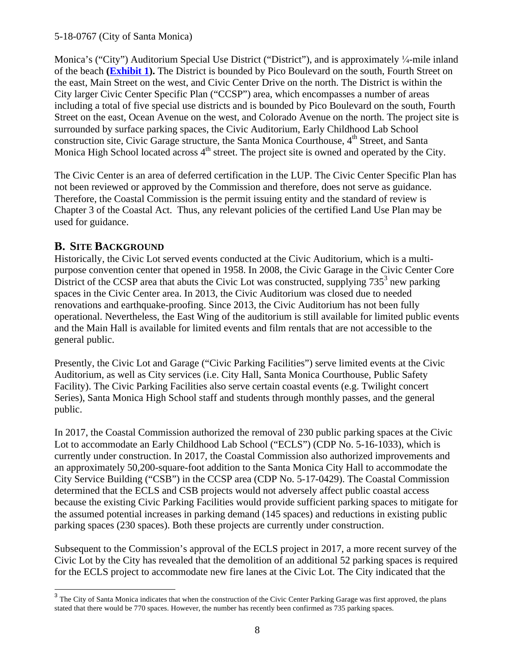Monica's ("City") Auditorium Special Use District ("District"), and is approximately ¼-mile inland of the beach **(Exhibit 1).** The District is bounded by Pico Boulevard on the south, Fourth Street on the east, Main Street on the west, and Civic Center Drive on the north. The District is within the City larger Civic Center Specific Plan ("CCSP") area, which encompasses a number of areas including a total of five special use districts and is bounded by Pico Boulevard on the south, Fourth Street on the east, Ocean Avenue on the west, and Colorado Avenue on the north. The project site is surrounded by surface parking spaces, the Civic Auditorium, Early Childhood Lab School construction site, Civic Garage structure, the Santa Monica Courthouse, 4<sup>th</sup> Street, and Santa Monica High School located across 4<sup>th</sup> street. The project site is owned and operated by the City.

The Civic Center is an area of deferred certification in the LUP. The Civic Center Specific Plan has not been reviewed or approved by the Commission and therefore, does not serve as guidance. Therefore, the Coastal Commission is the permit issuing entity and the standard of review is Chapter 3 of the Coastal Act. Thus, any relevant policies of the certified Land Use Plan may be used for guidance.

# **B. SITE BACKGROUND**

Historically, the Civic Lot served events conducted at the Civic Auditorium, which is a multipurpose convention center that opened in 1958. In 2008, the Civic Garage in the Civic Center Core District of the CCSP area that abuts the Civic Lot was constructed, supplying  $735<sup>3</sup>$  new parking spaces in the Civic Center area. In 2013, the Civic Auditorium was closed due to needed renovations and earthquake-proofing. Since 2013, the Civic Auditorium has not been fully operational. Nevertheless, the East Wing of the auditorium is still available for limited public events and the Main Hall is available for limited events and film rentals that are not accessible to the general public.

Presently, the Civic Lot and Garage ("Civic Parking Facilities") serve limited events at the Civic Auditorium, as well as City services (i.e. City Hall, Santa Monica Courthouse, Public Safety Facility). The Civic Parking Facilities also serve certain coastal events (e.g. Twilight concert Series), Santa Monica High School staff and students through monthly passes, and the general public.

In 2017, the Coastal Commission authorized the removal of 230 public parking spaces at the Civic Lot to accommodate an Early Childhood Lab School ("ECLS") (CDP No. 5-16-1033), which is currently under construction. In 2017, the Coastal Commission also authorized improvements and an approximately 50,200-square-foot addition to the Santa Monica City Hall to accommodate the City Service Building ("CSB") in the CCSP area (CDP No. 5-17-0429). The Coastal Commission determined that the ECLS and CSB projects would not adversely affect public coastal access because the existing Civic Parking Facilities would provide sufficient parking spaces to mitigate for the assumed potential increases in parking demand (145 spaces) and reductions in existing public parking spaces (230 spaces). Both these projects are currently under construction.

Subsequent to the Commission's approval of the ECLS project in 2017, a more recent survey of the Civic Lot by the City has revealed that the demolition of an additional 52 parking spaces is required for the ECLS project to accommodate new fire lanes at the Civic Lot. The City indicated that the

<sup>&</sup>lt;sup>3</sup> The City of Santa Monica indicates that when the construction of the Civic Center Parking Garage was first approved, the plans stated that there would be 770 spaces. However, the number has recently been confirmed as 735 parking spaces.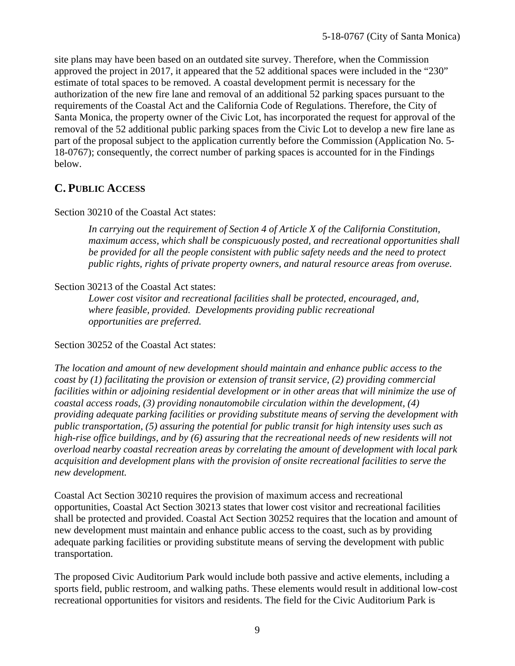site plans may have been based on an outdated site survey. Therefore, when the Commission approved the project in 2017, it appeared that the 52 additional spaces were included in the "230" estimate of total spaces to be removed. A coastal development permit is necessary for the authorization of the new fire lane and removal of an additional 52 parking spaces pursuant to the requirements of the Coastal Act and the California Code of Regulations. Therefore, the City of Santa Monica, the property owner of the Civic Lot, has incorporated the request for approval of the removal of the 52 additional public parking spaces from the Civic Lot to develop a new fire lane as part of the proposal subject to the application currently before the Commission (Application No. 5- 18-0767); consequently, the correct number of parking spaces is accounted for in the Findings below.

## **C. PUBLIC ACCESS**

## Section 30210 of the Coastal Act states:

*In carrying out the requirement of Section 4 of Article X of the California Constitution, maximum access, which shall be conspicuously posted, and recreational opportunities shall be provided for all the people consistent with public safety needs and the need to protect public rights, rights of private property owners, and natural resource areas from overuse.*

## Section 30213 of the Coastal Act states:

*Lower cost visitor and recreational facilities shall be protected, encouraged, and, where feasible, provided. Developments providing public recreational opportunities are preferred.*

Section 30252 of the Coastal Act states:

*The location and amount of new development should maintain and enhance public access to the coast by (1) facilitating the provision or extension of transit service, (2) providing commercial facilities within or adjoining residential development or in other areas that will minimize the use of coastal access roads, (3) providing nonautomobile circulation within the development, (4) providing adequate parking facilities or providing substitute means of serving the development with public transportation, (5) assuring the potential for public transit for high intensity uses such as high-rise office buildings, and by (6) assuring that the recreational needs of new residents will not overload nearby coastal recreation areas by correlating the amount of development with local park acquisition and development plans with the provision of onsite recreational facilities to serve the new development.*

Coastal Act Section 30210 requires the provision of maximum access and recreational opportunities, Coastal Act Section 30213 states that lower cost visitor and recreational facilities shall be protected and provided. Coastal Act Section 30252 requires that the location and amount of new development must maintain and enhance public access to the coast, such as by providing adequate parking facilities or providing substitute means of serving the development with public transportation.

The proposed Civic Auditorium Park would include both passive and active elements, including a sports field, public restroom, and walking paths. These elements would result in additional low-cost recreational opportunities for visitors and residents. The field for the Civic Auditorium Park is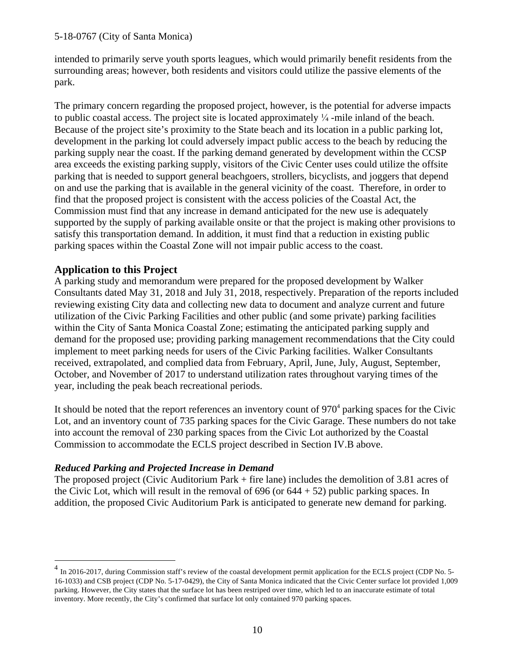intended to primarily serve youth sports leagues, which would primarily benefit residents from the surrounding areas; however, both residents and visitors could utilize the passive elements of the park.

The primary concern regarding the proposed project, however, is the potential for adverse impacts to public coastal access. The project site is located approximately  $\frac{1}{4}$ -mile inland of the beach. Because of the project site's proximity to the State beach and its location in a public parking lot, development in the parking lot could adversely impact public access to the beach by reducing the parking supply near the coast. If the parking demand generated by development within the CCSP area exceeds the existing parking supply, visitors of the Civic Center uses could utilize the offsite parking that is needed to support general beachgoers, strollers, bicyclists, and joggers that depend on and use the parking that is available in the general vicinity of the coast. Therefore, in order to find that the proposed project is consistent with the access policies of the Coastal Act, the Commission must find that any increase in demand anticipated for the new use is adequately supported by the supply of parking available onsite or that the project is making other provisions to satisfy this transportation demand. In addition, it must find that a reduction in existing public parking spaces within the Coastal Zone will not impair public access to the coast.

## **Application to this Project**

A parking study and memorandum were prepared for the proposed development by Walker Consultants dated May 31, 2018 and July 31, 2018, respectively. Preparation of the reports included reviewing existing City data and collecting new data to document and analyze current and future utilization of the Civic Parking Facilities and other public (and some private) parking facilities within the City of Santa Monica Coastal Zone; estimating the anticipated parking supply and demand for the proposed use; providing parking management recommendations that the City could implement to meet parking needs for users of the Civic Parking facilities. Walker Consultants received, extrapolated, and complied data from February, April, June, July, August, September, October, and November of 2017 to understand utilization rates throughout varying times of the year, including the peak beach recreational periods.

It should be noted that the report references an inventory count of  $970<sup>4</sup>$  parking spaces for the Civic Lot, and an inventory count of 735 parking spaces for the Civic Garage. These numbers do not take into account the removal of 230 parking spaces from the Civic Lot authorized by the Coastal Commission to accommodate the ECLS project described in Section IV.B above.

## *Reduced Parking and Projected Increase in Demand*

The proposed project (Civic Auditorium Park + fire lane) includes the demolition of 3.81 acres of the Civic Lot, which will result in the removal of  $696$  (or  $644 + 52$ ) public parking spaces. In addition, the proposed Civic Auditorium Park is anticipated to generate new demand for parking.

<sup>&</sup>lt;sup>4</sup> In 2016-2017, during Commission staff's review of the coastal development permit application for the ECLS project (CDP No. 5-16-1033) and CSB project (CDP No. 5-17-0429), the City of Santa Monica indicated that the Civic Center surface lot provided 1,009 parking. However, the City states that the surface lot has been restriped over time, which led to an inaccurate estimate of total inventory. More recently, the City's confirmed that surface lot only contained 970 parking spaces.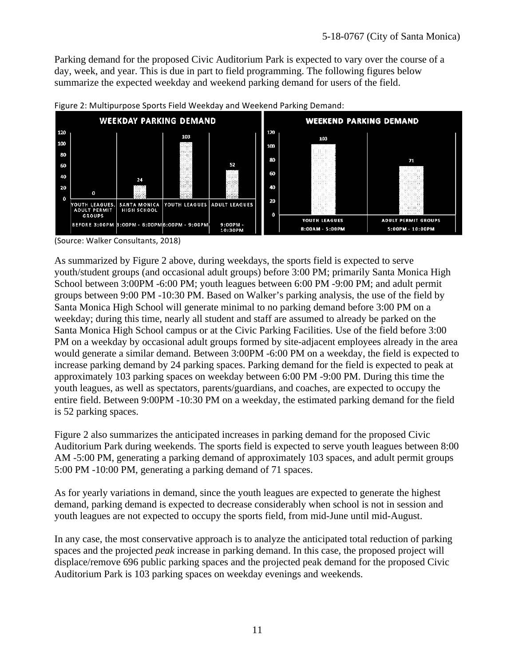Parking demand for the proposed Civic Auditorium Park is expected to vary over the course of a day, week, and year. This is due in part to field programming. The following figures below summarize the expected weekday and weekend parking demand for users of the field.



Figure 2: Multipurpose Sports Field Weekday and Weekend Parking Demand:

(Source: Walker Consultants, 2018)

As summarized by Figure 2 above, during weekdays, the sports field is expected to serve youth/student groups (and occasional adult groups) before 3:00 PM; primarily Santa Monica High School between 3:00PM -6:00 PM; youth leagues between 6:00 PM -9:00 PM; and adult permit groups between 9:00 PM -10:30 PM. Based on Walker's parking analysis, the use of the field by Santa Monica High School will generate minimal to no parking demand before 3:00 PM on a weekday; during this time, nearly all student and staff are assumed to already be parked on the Santa Monica High School campus or at the Civic Parking Facilities. Use of the field before 3:00 PM on a weekday by occasional adult groups formed by site-adjacent employees already in the area would generate a similar demand. Between 3:00PM -6:00 PM on a weekday, the field is expected to increase parking demand by 24 parking spaces. Parking demand for the field is expected to peak at approximately 103 parking spaces on weekday between 6:00 PM -9:00 PM. During this time the youth leagues, as well as spectators, parents/guardians, and coaches, are expected to occupy the entire field. Between 9:00PM -10:30 PM on a weekday, the estimated parking demand for the field is 52 parking spaces.

Figure 2 also summarizes the anticipated increases in parking demand for the proposed Civic Auditorium Park during weekends. The sports field is expected to serve youth leagues between 8:00 AM -5:00 PM, generating a parking demand of approximately 103 spaces, and adult permit groups 5:00 PM -10:00 PM, generating a parking demand of 71 spaces.

As for yearly variations in demand, since the youth leagues are expected to generate the highest demand, parking demand is expected to decrease considerably when school is not in session and youth leagues are not expected to occupy the sports field, from mid-June until mid-August.

In any case, the most conservative approach is to analyze the anticipated total reduction of parking spaces and the projected *peak* increase in parking demand. In this case, the proposed project will displace/remove 696 public parking spaces and the projected peak demand for the proposed Civic Auditorium Park is 103 parking spaces on weekday evenings and weekends.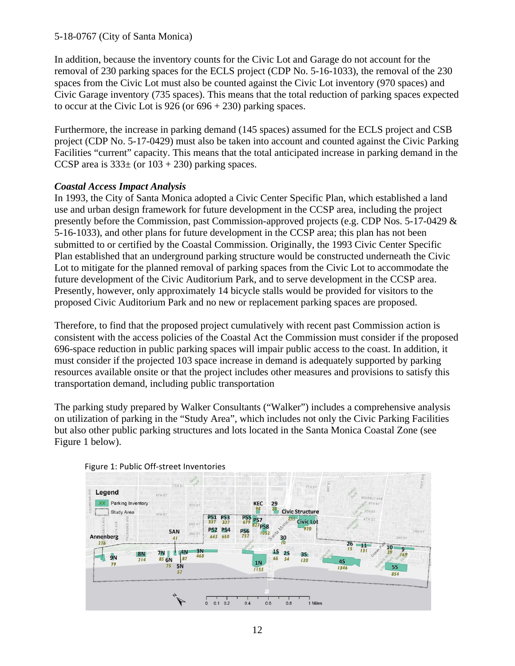In addition, because the inventory counts for the Civic Lot and Garage do not account for the removal of 230 parking spaces for the ECLS project (CDP No. 5-16-1033), the removal of the 230 spaces from the Civic Lot must also be counted against the Civic Lot inventory (970 spaces) and Civic Garage inventory (735 spaces). This means that the total reduction of parking spaces expected to occur at the Civic Lot is  $926$  (or  $696 + 230$ ) parking spaces.

Furthermore, the increase in parking demand (145 spaces) assumed for the ECLS project and CSB project (CDP No. 5-17-0429) must also be taken into account and counted against the Civic Parking Facilities "current" capacity. This means that the total anticipated increase in parking demand in the CCSP area is  $333\pm$  (or  $103 + 230$ ) parking spaces.

## *Coastal Access Impact Analysis*

In 1993, the City of Santa Monica adopted a Civic Center Specific Plan, which established a land use and urban design framework for future development in the CCSP area, including the project presently before the Commission, past Commission-approved projects (e.g. CDP Nos. 5-17-0429 & 5-16-1033), and other plans for future development in the CCSP area; this plan has not been submitted to or certified by the Coastal Commission. Originally, the 1993 Civic Center Specific Plan established that an underground parking structure would be constructed underneath the Civic Lot to mitigate for the planned removal of parking spaces from the Civic Lot to accommodate the future development of the Civic Auditorium Park, and to serve development in the CCSP area. Presently, however, only approximately 14 bicycle stalls would be provided for visitors to the proposed Civic Auditorium Park and no new or replacement parking spaces are proposed.

Therefore, to find that the proposed project cumulatively with recent past Commission action is consistent with the access policies of the Coastal Act the Commission must consider if the proposed 696-space reduction in public parking spaces will impair public access to the coast. In addition, it must consider if the projected 103 space increase in demand is adequately supported by parking resources available onsite or that the project includes other measures and provisions to satisfy this transportation demand, including public transportation

The parking study prepared by Walker Consultants ("Walker") includes a comprehensive analysis on utilization of parking in the "Study Area", which includes not only the Civic Parking Facilities but also other public parking structures and lots located in the Santa Monica Coastal Zone (see Figure 1 below).



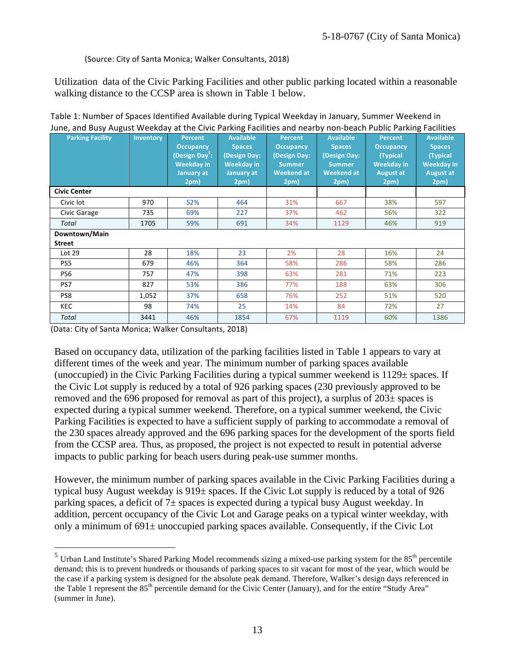#### (Source: City of Santa Monica; Walker Consultants, 2018)

Utilization data of the Civic Parking Facilities and other public parking located within a reasonable walking distance to the CCSP area is shown in Table 1 below.

| <b>Parking Facility</b> | Inventory | <b>Percent</b><br><b>Occupancy</b><br>(Design Day <sup>5</sup> :<br><b>Weekday</b> in<br><b>January at</b><br>2pm) | <b>Available</b><br><b>Spaces</b><br><b>Design Day:</b><br><b>Weekday in</b><br>January at<br>2pm) | <b>Percent</b><br><b>Occupancy</b><br><b>(Design Day:</b><br><b>Summer</b><br><b>Weekend at</b><br>2pm) | <b>Available</b><br><b>Spaces</b><br>(Design Day:<br><b>Summer</b><br><b>Weekend at</b><br>2pm) | <b>Percent</b><br><b>Occupancy</b><br>(Typical<br><b>Weekday</b> in<br><b>August at</b><br>2pm) | <b>Available</b><br><b>Spaces</b><br>(Typical<br><b>Weekday in</b><br><b>August at</b><br>2pm) |
|-------------------------|-----------|--------------------------------------------------------------------------------------------------------------------|----------------------------------------------------------------------------------------------------|---------------------------------------------------------------------------------------------------------|-------------------------------------------------------------------------------------------------|-------------------------------------------------------------------------------------------------|------------------------------------------------------------------------------------------------|
| <b>Civic Center</b>     |           |                                                                                                                    |                                                                                                    |                                                                                                         |                                                                                                 |                                                                                                 |                                                                                                |
| Civic lot               | 970       | 52%                                                                                                                | 464                                                                                                | 31%                                                                                                     | 667                                                                                             | 38%                                                                                             | 597                                                                                            |
| Civic Garage            | 735       | 69%                                                                                                                | 227                                                                                                | 37%                                                                                                     | 462                                                                                             | 56%                                                                                             | 322                                                                                            |
| Total                   | 1705      | 59%                                                                                                                | 691                                                                                                | 34%                                                                                                     | 1129                                                                                            | 46%                                                                                             | 919                                                                                            |
| Downtown/Main           |           |                                                                                                                    |                                                                                                    |                                                                                                         |                                                                                                 |                                                                                                 |                                                                                                |
| <b>Street</b>           |           |                                                                                                                    |                                                                                                    |                                                                                                         |                                                                                                 |                                                                                                 |                                                                                                |
| Lot 29                  | 28        | 18%                                                                                                                | 23                                                                                                 | 2%                                                                                                      | 28                                                                                              | 16%                                                                                             | 24                                                                                             |
| PS5                     | 679       | 46%                                                                                                                | 364                                                                                                | 58%                                                                                                     | 286                                                                                             | 58%                                                                                             | 286                                                                                            |
| PS6                     | 757       | 47%                                                                                                                | 398                                                                                                | 63%                                                                                                     | 281                                                                                             | 71%                                                                                             | 223                                                                                            |
| PS7                     | 827       | 53%                                                                                                                | 386                                                                                                | 77%                                                                                                     | 188                                                                                             | 63%                                                                                             | 306                                                                                            |
| PS8                     | 1,052     | 37%                                                                                                                | 658                                                                                                | 76%                                                                                                     | 252                                                                                             | 51%                                                                                             | 520                                                                                            |
| <b>KEC</b>              | 98        | 74%                                                                                                                | 25                                                                                                 | 14%                                                                                                     | 84                                                                                              | 72%                                                                                             | 27                                                                                             |
| Total                   | 3441      | 46%                                                                                                                | 1854                                                                                               | 67%                                                                                                     | 1119                                                                                            | 60%                                                                                             | 1386                                                                                           |

Table 1: Number of Spaces Identified Available during Typical Weekday in January, Summer Weekend in June, and Busy August Weekday at the Civic Parking Facilities and nearby non-beach Public Parking Facilities

(Data: City of Santa Monica; Walker Consultants, 2018)

Based on occupancy data, utilization of the parking facilities listed in Table 1 appears to vary at different times of the week and year. The minimum number of parking spaces available (unoccupied) in the Civic Parking Facilities during a typical summer weekend is  $1129 \pm$  spaces. If the Civic Lot supply is reduced by a total of 926 parking spaces (230 previously approved to be removed and the 696 proposed for removal as part of this project), a surplus of 203± spaces is expected during a typical summer weekend. Therefore, on a typical summer weekend, the Civic Parking Facilities is expected to have a sufficient supply of parking to accommodate a removal of the 230 spaces already approved and the 696 parking spaces for the development of the sports field from the CCSP area. Thus, as proposed, the project is not expected to result in potential adverse impacts to public parking for beach users during peak-use summer months.

However, the minimum number of parking spaces available in the Civic Parking Facilities during a typical busy August weekday is 919± spaces. If the Civic Lot supply is reduced by a total of 926 parking spaces, a deficit of  $7\pm$  spaces is expected during a typical busy August weekday. In addition, percent occupancy of the Civic Lot and Garage peaks on a typical winter weekday, with only a minimum of  $691\pm$  unoccupied parking spaces available. Consequently, if the Civic Lot

 $<sup>5</sup>$  Urban Land Institute's Shared Parking Model recommends sizing a mixed-use parking system for the  $85<sup>th</sup>$  percentile</sup> demand; this is to prevent hundreds or thousands of parking spaces to sit vacant for most of the year, which would be the case if a parking system is designed for the absolute peak demand. Therefore, Walker's design days referenced in the Table 1 represent the 85<sup>th</sup> percentile demand for the Civic Center (January), and for the entire "Study Area" (summer in June).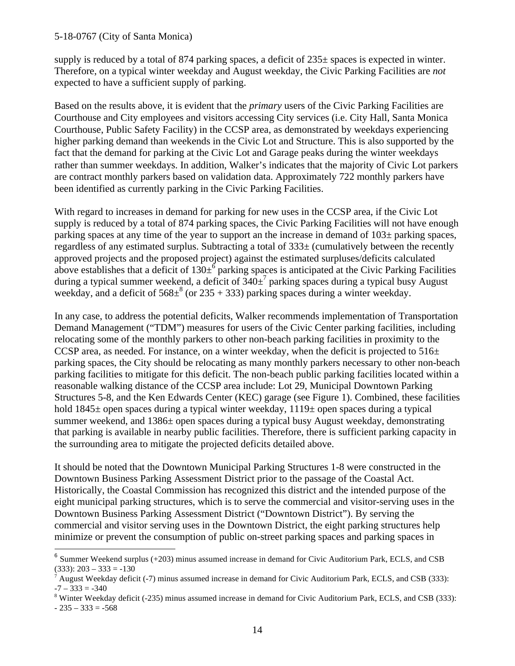supply is reduced by a total of 874 parking spaces, a deficit of  $235\pm$  spaces is expected in winter. Therefore, on a typical winter weekday and August weekday, the Civic Parking Facilities are *not* expected to have a sufficient supply of parking.

Based on the results above, it is evident that the *primary* users of the Civic Parking Facilities are Courthouse and City employees and visitors accessing City services (i.e. City Hall, Santa Monica Courthouse, Public Safety Facility) in the CCSP area, as demonstrated by weekdays experiencing higher parking demand than weekends in the Civic Lot and Structure. This is also supported by the fact that the demand for parking at the Civic Lot and Garage peaks during the winter weekdays rather than summer weekdays. In addition, Walker's indicates that the majority of Civic Lot parkers are contract monthly parkers based on validation data. Approximately 722 monthly parkers have been identified as currently parking in the Civic Parking Facilities.

With regard to increases in demand for parking for new uses in the CCSP area, if the Civic Lot supply is reduced by a total of 874 parking spaces, the Civic Parking Facilities will not have enough parking spaces at any time of the year to support an the increase in demand of 103± parking spaces, regardless of any estimated surplus. Subtracting a total of  $333\pm$  (cumulatively between the recently approved projects and the proposed project) against the estimated surpluses/deficits calculated above establishes that a deficit of  $130\pm^6$  parking spaces is anticipated at the Civic Parking Facilities during a typical summer weekend, a deficit of  $340\pm^7$  parking spaces during a typical busy August weekday, and a deficit of  $568\pm^{8}$  (or  $235 + 333$ ) parking spaces during a winter weekday.

In any case, to address the potential deficits, Walker recommends implementation of Transportation Demand Management ("TDM") measures for users of the Civic Center parking facilities, including relocating some of the monthly parkers to other non-beach parking facilities in proximity to the CCSP area, as needed. For instance, on a winter weekday, when the deficit is projected to  $516\pm$ parking spaces, the City should be relocating as many monthly parkers necessary to other non-beach parking facilities to mitigate for this deficit. The non-beach public parking facilities located within a reasonable walking distance of the CCSP area include: Lot 29, Municipal Downtown Parking Structures 5-8, and the Ken Edwards Center (KEC) garage (see Figure 1). Combined, these facilities hold  $1845\pm$  open spaces during a typical winter weekday,  $1119\pm$  open spaces during a typical summer weekend, and 1386± open spaces during a typical busy August weekday, demonstrating that parking is available in nearby public facilities. Therefore, there is sufficient parking capacity in the surrounding area to mitigate the projected deficits detailed above.

It should be noted that the Downtown Municipal Parking Structures 1-8 were constructed in the Downtown Business Parking Assessment District prior to the passage of the Coastal Act. Historically, the Coastal Commission has recognized this district and the intended purpose of the eight municipal parking structures, which is to serve the commercial and visitor-serving uses in the Downtown Business Parking Assessment District ("Downtown District"). By serving the commercial and visitor serving uses in the Downtown District, the eight parking structures help minimize or prevent the consumption of public on-street parking spaces and parking spaces in

 $-235 - 333 = -568$ 

 $6$  Summer Weekend surplus (+203) minus assumed increase in demand for Civic Auditorium Park, ECLS, and CSB  $(333): 203 - 333 = -130$ 

August Weekday deficit (-7) minus assumed increase in demand for Civic Auditorium Park, ECLS, and CSB (333):  $-7 - 333 = -340$ 

<sup>&</sup>lt;sup>8</sup> Winter Weekday deficit (-235) minus assumed increase in demand for Civic Auditorium Park, ECLS, and CSB (333):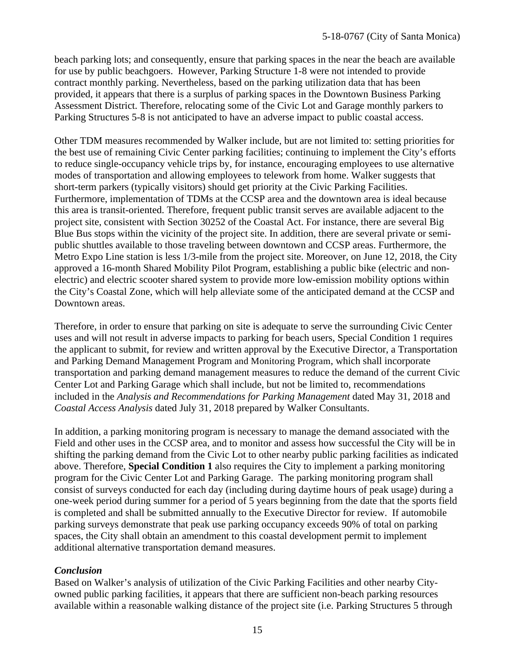beach parking lots; and consequently, ensure that parking spaces in the near the beach are available for use by public beachgoers. However, Parking Structure 1-8 were not intended to provide contract monthly parking. Nevertheless, based on the parking utilization data that has been provided, it appears that there is a surplus of parking spaces in the Downtown Business Parking Assessment District. Therefore, relocating some of the Civic Lot and Garage monthly parkers to Parking Structures 5-8 is not anticipated to have an adverse impact to public coastal access.

Other TDM measures recommended by Walker include, but are not limited to: setting priorities for the best use of remaining Civic Center parking facilities; continuing to implement the City's efforts to reduce single-occupancy vehicle trips by, for instance, encouraging employees to use alternative modes of transportation and allowing employees to telework from home. Walker suggests that short-term parkers (typically visitors) should get priority at the Civic Parking Facilities. Furthermore, implementation of TDMs at the CCSP area and the downtown area is ideal because this area is transit-oriented. Therefore, frequent public transit serves are available adjacent to the project site, consistent with Section 30252 of the Coastal Act. For instance, there are several Big Blue Bus stops within the vicinity of the project site. In addition, there are several private or semipublic shuttles available to those traveling between downtown and CCSP areas. Furthermore, the Metro Expo Line station is less 1/3-mile from the project site. Moreover, on June 12, 2018, the City approved a 16-month Shared Mobility Pilot Program, establishing a public bike (electric and nonelectric) and electric scooter shared system to provide more low-emission mobility options within the City's Coastal Zone, which will help alleviate some of the anticipated demand at the CCSP and Downtown areas.

Therefore, in order to ensure that parking on site is adequate to serve the surrounding Civic Center uses and will not result in adverse impacts to parking for beach users, Special Condition 1 requires the applicant to submit, for review and written approval by the Executive Director, a Transportation and Parking Demand Management Program and Monitoring Program, which shall incorporate transportation and parking demand management measures to reduce the demand of the current Civic Center Lot and Parking Garage which shall include, but not be limited to, recommendations included in the *Analysis and Recommendations for Parking Management* dated May 31, 2018 and *Coastal Access Analysis* dated July 31, 2018 prepared by Walker Consultants.

In addition, a parking monitoring program is necessary to manage the demand associated with the Field and other uses in the CCSP area, and to monitor and assess how successful the City will be in shifting the parking demand from the Civic Lot to other nearby public parking facilities as indicated above. Therefore, **Special Condition 1** also requires the City to implement a parking monitoring program for the Civic Center Lot and Parking Garage. The parking monitoring program shall consist of surveys conducted for each day (including during daytime hours of peak usage) during a one-week period during summer for a period of 5 years beginning from the date that the sports field is completed and shall be submitted annually to the Executive Director for review. If automobile parking surveys demonstrate that peak use parking occupancy exceeds 90% of total on parking spaces, the City shall obtain an amendment to this coastal development permit to implement additional alternative transportation demand measures.

### *Conclusion*

Based on Walker's analysis of utilization of the Civic Parking Facilities and other nearby Cityowned public parking facilities, it appears that there are sufficient non-beach parking resources available within a reasonable walking distance of the project site (i.e. Parking Structures 5 through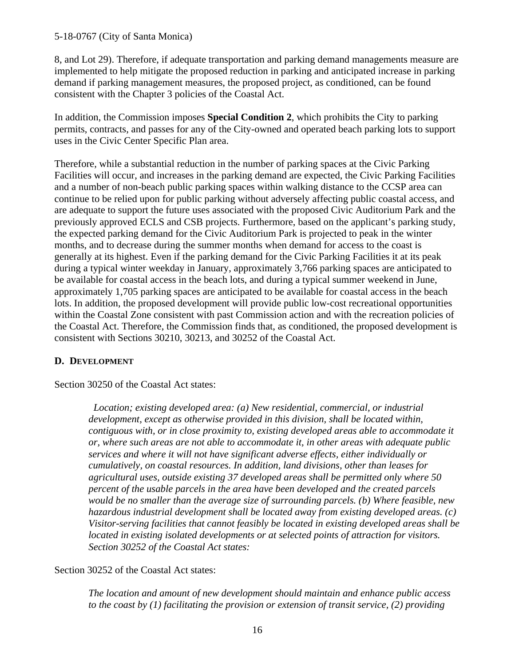8, and Lot 29). Therefore, if adequate transportation and parking demand managements measure are implemented to help mitigate the proposed reduction in parking and anticipated increase in parking demand if parking management measures, the proposed project, as conditioned, can be found consistent with the Chapter 3 policies of the Coastal Act.

In addition, the Commission imposes **Special Condition 2**, which prohibits the City to parking permits, contracts, and passes for any of the City-owned and operated beach parking lots to support uses in the Civic Center Specific Plan area.

Therefore, while a substantial reduction in the number of parking spaces at the Civic Parking Facilities will occur, and increases in the parking demand are expected, the Civic Parking Facilities and a number of non-beach public parking spaces within walking distance to the CCSP area can continue to be relied upon for public parking without adversely affecting public coastal access, and are adequate to support the future uses associated with the proposed Civic Auditorium Park and the previously approved ECLS and CSB projects. Furthermore, based on the applicant's parking study, the expected parking demand for the Civic Auditorium Park is projected to peak in the winter months, and to decrease during the summer months when demand for access to the coast is generally at its highest. Even if the parking demand for the Civic Parking Facilities it at its peak during a typical winter weekday in January, approximately 3,766 parking spaces are anticipated to be available for coastal access in the beach lots, and during a typical summer weekend in June, approximately 1,705 parking spaces are anticipated to be available for coastal access in the beach lots. In addition, the proposed development will provide public low-cost recreational opportunities within the Coastal Zone consistent with past Commission action and with the recreation policies of the Coastal Act. Therefore, the Commission finds that, as conditioned, the proposed development is consistent with Sections 30210, 30213, and 30252 of the Coastal Act.

## **D. DEVELOPMENT**

Section 30250 of the Coastal Act states:

*Location; existing developed area: (a) New residential, commercial, or industrial development, except as otherwise provided in this division, shall be located within, contiguous with, or in close proximity to, existing developed areas able to accommodate it or, where such areas are not able to accommodate it, in other areas with adequate public services and where it will not have significant adverse effects, either individually or cumulatively, on coastal resources. In addition, land divisions, other than leases for agricultural uses, outside existing 37 developed areas shall be permitted only where 50 percent of the usable parcels in the area have been developed and the created parcels would be no smaller than the average size of surrounding parcels. (b) Where feasible, new hazardous industrial development shall be located away from existing developed areas. (c) Visitor-serving facilities that cannot feasibly be located in existing developed areas shall be located in existing isolated developments or at selected points of attraction for visitors. Section 30252 of the Coastal Act states:*

## Section 30252 of the Coastal Act states:

*The location and amount of new development should maintain and enhance public access to the coast by (1) facilitating the provision or extension of transit service, (2) providing*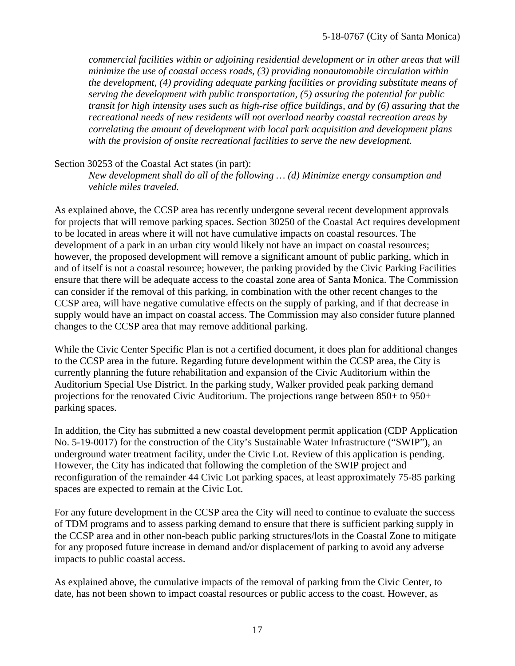*commercial facilities within or adjoining residential development or in other areas that will minimize the use of coastal access roads, (3) providing nonautomobile circulation within the development, (4) providing adequate parking facilities or providing substitute means of serving the development with public transportation, (5) assuring the potential for public transit for high intensity uses such as high-rise office buildings, and by (6) assuring that the recreational needs of new residents will not overload nearby coastal recreation areas by correlating the amount of development with local park acquisition and development plans with the provision of onsite recreational facilities to serve the new development.* 

### Section 30253 of the Coastal Act states (in part):

*New development shall do all of the following … (d) Minimize energy consumption and vehicle miles traveled.*

As explained above, the CCSP area has recently undergone several recent development approvals for projects that will remove parking spaces. Section 30250 of the Coastal Act requires development to be located in areas where it will not have cumulative impacts on coastal resources. The development of a park in an urban city would likely not have an impact on coastal resources; however, the proposed development will remove a significant amount of public parking, which in and of itself is not a coastal resource; however, the parking provided by the Civic Parking Facilities ensure that there will be adequate access to the coastal zone area of Santa Monica. The Commission can consider if the removal of this parking, in combination with the other recent changes to the CCSP area, will have negative cumulative effects on the supply of parking, and if that decrease in supply would have an impact on coastal access. The Commission may also consider future planned changes to the CCSP area that may remove additional parking.

While the Civic Center Specific Plan is not a certified document, it does plan for additional changes to the CCSP area in the future. Regarding future development within the CCSP area, the City is currently planning the future rehabilitation and expansion of the Civic Auditorium within the Auditorium Special Use District. In the parking study, Walker provided peak parking demand projections for the renovated Civic Auditorium. The projections range between 850+ to 950+ parking spaces.

In addition, the City has submitted a new coastal development permit application (CDP Application No. 5-19-0017) for the construction of the City's Sustainable Water Infrastructure ("SWIP"), an underground water treatment facility, under the Civic Lot. Review of this application is pending. However, the City has indicated that following the completion of the SWIP project and reconfiguration of the remainder 44 Civic Lot parking spaces, at least approximately 75-85 parking spaces are expected to remain at the Civic Lot.

For any future development in the CCSP area the City will need to continue to evaluate the success of TDM programs and to assess parking demand to ensure that there is sufficient parking supply in the CCSP area and in other non-beach public parking structures/lots in the Coastal Zone to mitigate for any proposed future increase in demand and/or displacement of parking to avoid any adverse impacts to public coastal access.

As explained above, the cumulative impacts of the removal of parking from the Civic Center, to date, has not been shown to impact coastal resources or public access to the coast. However, as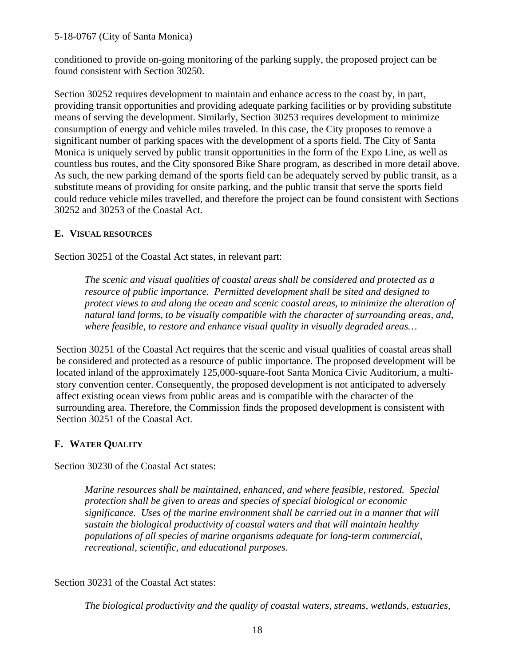conditioned to provide on-going monitoring of the parking supply, the proposed project can be found consistent with Section 30250.

Section 30252 requires development to maintain and enhance access to the coast by, in part, providing transit opportunities and providing adequate parking facilities or by providing substitute means of serving the development. Similarly, Section 30253 requires development to minimize consumption of energy and vehicle miles traveled. In this case, the City proposes to remove a significant number of parking spaces with the development of a sports field. The City of Santa Monica is uniquely served by public transit opportunities in the form of the Expo Line, as well as countless bus routes, and the City sponsored Bike Share program, as described in more detail above. As such, the new parking demand of the sports field can be adequately served by public transit, as a substitute means of providing for onsite parking, and the public transit that serve the sports field could reduce vehicle miles travelled, and therefore the project can be found consistent with Sections 30252 and 30253 of the Coastal Act.

## **E. VISUAL RESOURCES**

Section 30251 of the Coastal Act states, in relevant part:

*The scenic and visual qualities of coastal areas shall be considered and protected as a resource of public importance. Permitted development shall be sited and designed to protect views to and along the ocean and scenic coastal areas, to minimize the alteration of natural land forms, to be visually compatible with the character of surrounding areas, and, where feasible, to restore and enhance visual quality in visually degraded areas…*

Section 30251 of the Coastal Act requires that the scenic and visual qualities of coastal areas shall be considered and protected as a resource of public importance. The proposed development will be located inland of the approximately 125,000-square-foot Santa Monica Civic Auditorium, a multistory convention center. Consequently, the proposed development is not anticipated to adversely affect existing ocean views from public areas and is compatible with the character of the surrounding area. Therefore, the Commission finds the proposed development is consistent with Section 30251 of the Coastal Act.

## **F. WATER QUALITY**

Section 30230 of the Coastal Act states:

*Marine resources shall be maintained, enhanced, and where feasible, restored. Special protection shall be given to areas and species of special biological or economic significance. Uses of the marine environment shall be carried out in a manner that will sustain the biological productivity of coastal waters and that will maintain healthy populations of all species of marine organisms adequate for long-term commercial, recreational, scientific, and educational purposes.*

Section 30231 of the Coastal Act states:

*The biological productivity and the quality of coastal waters, streams, wetlands, estuaries,*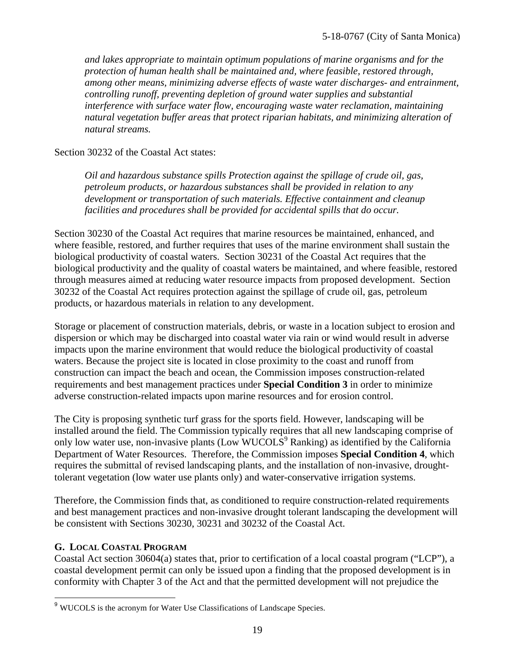*and lakes appropriate to maintain optimum populations of marine organisms and for the protection of human health shall be maintained and, where feasible, restored through, among other means, minimizing adverse effects of waste water discharges- and entrainment, controlling runoff, preventing depletion of ground water supplies and substantial interference with surface water flow, encouraging waste water reclamation, maintaining natural vegetation buffer areas that protect riparian habitats, and minimizing alteration of natural streams.*

### Section 30232 of the Coastal Act states:

*Oil and hazardous substance spills Protection against the spillage of crude oil, gas, petroleum products, or hazardous substances shall be provided in relation to any development or transportation of such materials. Effective containment and cleanup facilities and procedures shall be provided for accidental spills that do occur.*

Section 30230 of the Coastal Act requires that marine resources be maintained, enhanced, and where feasible, restored, and further requires that uses of the marine environment shall sustain the biological productivity of coastal waters. Section 30231 of the Coastal Act requires that the biological productivity and the quality of coastal waters be maintained, and where feasible, restored through measures aimed at reducing water resource impacts from proposed development. Section 30232 of the Coastal Act requires protection against the spillage of crude oil, gas, petroleum products, or hazardous materials in relation to any development.

Storage or placement of construction materials, debris, or waste in a location subject to erosion and dispersion or which may be discharged into coastal water via rain or wind would result in adverse impacts upon the marine environment that would reduce the biological productivity of coastal waters. Because the project site is located in close proximity to the coast and runoff from construction can impact the beach and ocean, the Commission imposes construction-related requirements and best management practices under **Special Condition 3** in order to minimize adverse construction-related impacts upon marine resources and for erosion control.

The City is proposing synthetic turf grass for the sports field. However, landscaping will be installed around the field. The Commission typically requires that all new landscaping comprise of only low water use, non-invasive plants (Low WUCOLS<sup>9</sup> Ranking) as identified by the California Department of Water Resources. Therefore, the Commission imposes **Special Condition 4**, which requires the submittal of revised landscaping plants, and the installation of non-invasive, droughttolerant vegetation (low water use plants only) and water-conservative irrigation systems.

Therefore, the Commission finds that, as conditioned to require construction-related requirements and best management practices and non-invasive drought tolerant landscaping the development will be consistent with Sections 30230, 30231 and 30232 of the Coastal Act.

### **G. LOCAL COASTAL PROGRAM**

Coastal Act section 30604(a) states that, prior to certification of a local coastal program ("LCP"), a coastal development permit can only be issued upon a finding that the proposed development is in conformity with Chapter 3 of the Act and that the permitted development will not prejudice the

<sup>&</sup>lt;sup>9</sup> WUCOLS is the acronym for Water Use Classifications of Landscape Species.